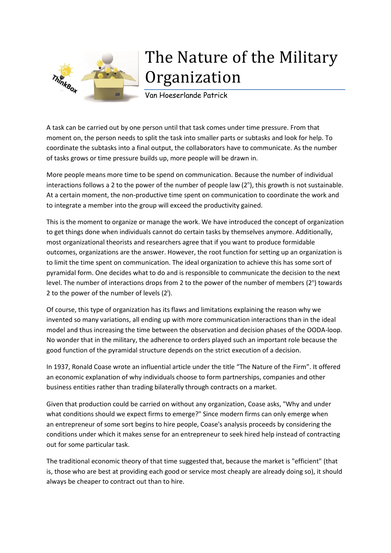

## The Nature of the Military **Organization**

Van Hoeserlande Patrick

A task can be carried out by one person until that task comes under time pressure. From that moment on, the person needs to split the task into smaller parts or subtasks and look for help. To coordinate the subtasks into a final output, the collaborators have to communicate. As the number of tasks grows or time pressure builds up, more people will be drawn in.

More people means more time to be spend on communication. Because the number of individual interactions follows a 2 to the power of the number of people law (2<sup>n</sup>), this growth is not sustainable. At a certain moment, the non-productive time spent on communication to coordinate the work and to integrate a member into the group will exceed the productivity gained.

This is the moment to organize or manage the work. We have introduced the concept of organization to get things done when individuals cannot do certain tasks by themselves anymore. Additionally, most organizational theorists and researchers agree that if you want to produce formidable outcomes, organizations are the answer. However, the root function for setting up an organization is to limit the time spent on communication. The ideal organization to achieve this has some sort of pyramidal form. One decides what to do and is responsible to communicate the decision to the next level. The number of interactions drops from 2 to the power of the number of members (2<sup>n</sup>) towards 2 to the power of the number of levels  $(2^i)$ .

Of course, this type of organization has its flaws and limitations explaining the reason why we invented so many variations, all ending up with more communication interactions than in the ideal model and thus increasing the time between the observation and decision phases of the OODA-loop. No wonder that in the military, the adherence to orders played such an important role because the good function of the pyramidal structure depends on the strict execution of a decision.

In 1937, Ronald Coase wrote an influential article under the title "The Nature of the Firm". It offered an economic explanation of why individuals choose to form partnerships, companies and other business entities rather than trading bilaterally through contracts on a market.

Given that production could be carried on without any organization, Coase asks, "Why and under what conditions should we expect firms to emerge?" Since modern firms can only emerge when an entrepreneur of some sort begins to hire people, Coase's analysis proceeds by considering the conditions under which it makes sense for an entrepreneur to seek hired help instead of contracting out for some particular task.

The traditional economic theory of that time suggested that, because the market is "efficient" (that is, those who are best at providing each good or service most cheaply are already doing so), it should always be cheaper to contract out than to hire.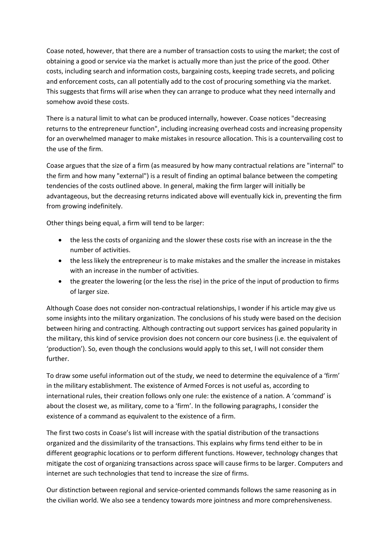Coase noted, however, that there are a number of transaction costs to using the market; the cost of obtaining a good or service via the market is actually more than just the price of the good. Other costs, including search and information costs, bargaining costs, keeping trade secrets, and policing and enforcement costs, can all potentially add to the cost of procuring something via the market. This suggests that firms will arise when they can arrange to produce what they need internally and somehow avoid these costs.

There is a natural limit to what can be produced internally, however. Coase notices "decreasing returns to the entrepreneur function", including increasing overhead costs and increasing propensity for an overwhelmed manager to make mistakes in resource allocation. This is a countervailing cost to the use of the firm.

Coase argues that the size of a firm (as measured by how many contractual relations are "internal" to the firm and how many "external") is a result of finding an optimal balance between the competing tendencies of the costs outlined above. In general, making the firm larger will initially be advantageous, but the decreasing returns indicated above will eventually kick in, preventing the firm from growing indefinitely.

Other things being equal, a firm will tend to be larger:

- the less the costs of organizing and the slower these costs rise with an increase in the the number of activities.
- the less likely the entrepreneur is to make mistakes and the smaller the increase in mistakes with an increase in the number of activities.
- the greater the lowering (or the less the rise) in the price of the input of production to firms of larger size.

Although Coase does not consider non-contractual relationships, I wonder if his article may give us some insights into the military organization. The conclusions of his study were based on the decision between hiring and contracting. Although contracting out support services has gained popularity in the military, this kind of service provision does not concern our core business (i.e. the equivalent of 'production'). So, even though the conclusions would apply to this set, I will not consider them further.

To draw some useful information out of the study, we need to determine the equivalence of a 'firm' in the military establishment. The existence of Armed Forces is not useful as, according to international rules, their creation follows only one rule: the existence of a nation. A 'command' is about the closest we, as military, come to a 'firm'. In the following paragraphs, I consider the existence of a command as equivalent to the existence of a firm.

The first two costs in Coase's list will increase with the spatial distribution of the transactions organized and the dissimilarity of the transactions. This explains why firms tend either to be in different geographic locations or to perform different functions. However, technology changes that mitigate the cost of organizing transactions across space will cause firms to be larger. Computers and internet are such technologies that tend to increase the size of firms.

Our distinction between regional and service-oriented commands follows the same reasoning as in the civilian world. We also see a tendency towards more jointness and more comprehensiveness.